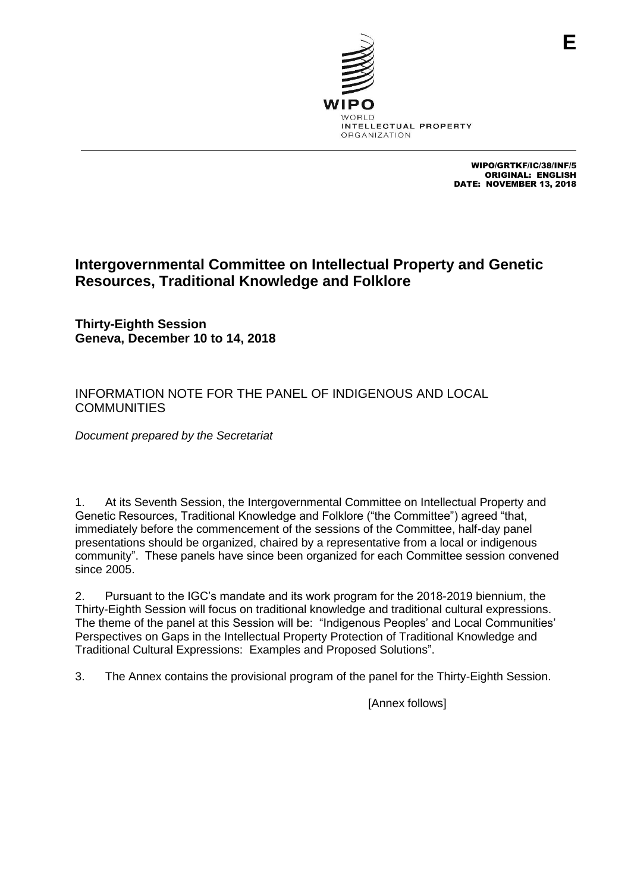

WIPO/GRTKF/IC/38/INF/5 ORIGINAL: ENGLISH DATE: NOVEMBER 13, 2018

## **Intergovernmental Committee on Intellectual Property and Genetic Resources, Traditional Knowledge and Folklore**

**Thirty-Eighth Session Geneva, December 10 to 14, 2018**

## INFORMATION NOTE FOR THE PANEL OF INDIGENOUS AND LOCAL **COMMUNITIES**

*Document prepared by the Secretariat*

1. At its Seventh Session, the Intergovernmental Committee on Intellectual Property and Genetic Resources, Traditional Knowledge and Folklore ("the Committee") agreed "that, immediately before the commencement of the sessions of the Committee, half-day panel presentations should be organized, chaired by a representative from a local or indigenous community". These panels have since been organized for each Committee session convened since 2005.

2. Pursuant to the IGC's mandate and its work program for the 2018-2019 biennium, the Thirty-Eighth Session will focus on traditional knowledge and traditional cultural expressions. The theme of the panel at this Session will be: "Indigenous Peoples' and Local Communities' Perspectives on Gaps in the Intellectual Property Protection of Traditional Knowledge and Traditional Cultural Expressions: Examples and Proposed Solutions".

3. The Annex contains the provisional program of the panel for the Thirty-Eighth Session.

[Annex follows]